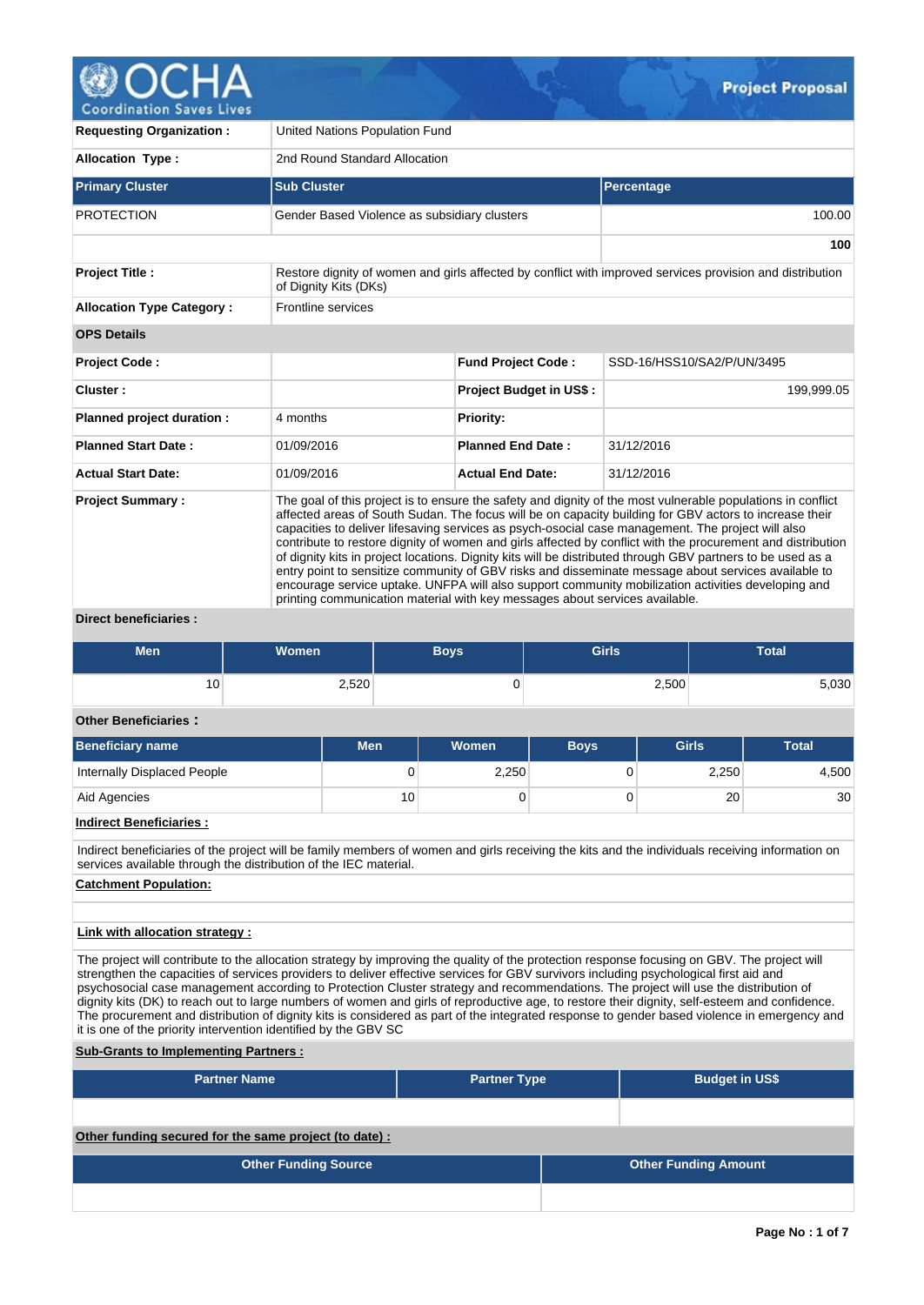

**Coordination Saves Lives** 

| <b>Requesting Organization:</b>  | United Nations Population Fund                                                                                                                                                                                                                                                                                                                                                                                                                                                                                                                                                                                                                                                                                                                                                                                                                       |                                |                                                                                                           |  |  |  |  |  |
|----------------------------------|------------------------------------------------------------------------------------------------------------------------------------------------------------------------------------------------------------------------------------------------------------------------------------------------------------------------------------------------------------------------------------------------------------------------------------------------------------------------------------------------------------------------------------------------------------------------------------------------------------------------------------------------------------------------------------------------------------------------------------------------------------------------------------------------------------------------------------------------------|--------------------------------|-----------------------------------------------------------------------------------------------------------|--|--|--|--|--|
| <b>Allocation Type:</b>          | 2nd Round Standard Allocation                                                                                                                                                                                                                                                                                                                                                                                                                                                                                                                                                                                                                                                                                                                                                                                                                        |                                |                                                                                                           |  |  |  |  |  |
| <b>Primary Cluster</b>           | <b>Sub Cluster</b>                                                                                                                                                                                                                                                                                                                                                                                                                                                                                                                                                                                                                                                                                                                                                                                                                                   |                                | Percentage                                                                                                |  |  |  |  |  |
| <b>PROTECTION</b>                | Gender Based Violence as subsidiary clusters                                                                                                                                                                                                                                                                                                                                                                                                                                                                                                                                                                                                                                                                                                                                                                                                         |                                | 100.00                                                                                                    |  |  |  |  |  |
|                                  |                                                                                                                                                                                                                                                                                                                                                                                                                                                                                                                                                                                                                                                                                                                                                                                                                                                      |                                | 100                                                                                                       |  |  |  |  |  |
| <b>Project Title:</b>            | of Dignity Kits (DKs)                                                                                                                                                                                                                                                                                                                                                                                                                                                                                                                                                                                                                                                                                                                                                                                                                                |                                | Restore dignity of women and girls affected by conflict with improved services provision and distribution |  |  |  |  |  |
| <b>Allocation Type Category:</b> | Frontline services                                                                                                                                                                                                                                                                                                                                                                                                                                                                                                                                                                                                                                                                                                                                                                                                                                   |                                |                                                                                                           |  |  |  |  |  |
| <b>OPS Details</b>               |                                                                                                                                                                                                                                                                                                                                                                                                                                                                                                                                                                                                                                                                                                                                                                                                                                                      |                                |                                                                                                           |  |  |  |  |  |
| <b>Project Code:</b>             |                                                                                                                                                                                                                                                                                                                                                                                                                                                                                                                                                                                                                                                                                                                                                                                                                                                      | <b>Fund Project Code:</b>      | SSD-16/HSS10/SA2/P/UN/3495                                                                                |  |  |  |  |  |
| Cluster:                         |                                                                                                                                                                                                                                                                                                                                                                                                                                                                                                                                                                                                                                                                                                                                                                                                                                                      | <b>Project Budget in US\$:</b> | 199,999.05                                                                                                |  |  |  |  |  |
| Planned project duration :       | 4 months                                                                                                                                                                                                                                                                                                                                                                                                                                                                                                                                                                                                                                                                                                                                                                                                                                             | <b>Priority:</b>               |                                                                                                           |  |  |  |  |  |
| <b>Planned Start Date:</b>       | 01/09/2016                                                                                                                                                                                                                                                                                                                                                                                                                                                                                                                                                                                                                                                                                                                                                                                                                                           | <b>Planned End Date:</b>       | 31/12/2016                                                                                                |  |  |  |  |  |
| <b>Actual Start Date:</b>        | 01/09/2016                                                                                                                                                                                                                                                                                                                                                                                                                                                                                                                                                                                                                                                                                                                                                                                                                                           | <b>Actual End Date:</b>        | 31/12/2016                                                                                                |  |  |  |  |  |
| <b>Project Summary:</b>          | The goal of this project is to ensure the safety and dignity of the most vulnerable populations in conflict<br>affected areas of South Sudan. The focus will be on capacity building for GBV actors to increase their<br>capacities to deliver lifesaving services as psych-osocial case management. The project will also<br>contribute to restore dignity of women and girls affected by conflict with the procurement and distribution<br>of dignity kits in project locations. Dignity kits will be distributed through GBV partners to be used as a<br>entry point to sensitize community of GBV risks and disseminate message about services available to<br>encourage service uptake. UNFPA will also support community mobilization activities developing and<br>printing communication material with key messages about services available. |                                |                                                                                                           |  |  |  |  |  |

# **Direct beneficiaries :**

| <b>Men</b> | <b>Women</b> | <b>Boys</b> | <b>Girls</b> | <b>Total</b> |
|------------|--------------|-------------|--------------|--------------|
| 10         | 2,520        | v           | 2,500        | 5,030        |

# **Other Beneficiaries :**

| <b>Beneficiary name</b>     | <b>Men</b> | Women | <b>Boys</b> | <b>Girls</b> | <b>Total</b> |
|-----------------------------|------------|-------|-------------|--------------|--------------|
| Internally Displaced People | 0          | 2,250 |             | 2,250        | 4,500        |
| Aid Agencies                | 10         |       |             | 20           | 30           |

# **Indirect Beneficiaries :**

Indirect beneficiaries of the project will be family members of women and girls receiving the kits and the individuals receiving information on services available through the distribution of the IEC material.

## **Catchment Population:**

## **Link with allocation strategy :**

The project will contribute to the allocation strategy by improving the quality of the protection response focusing on GBV. The project will strengthen the capacities of services providers to deliver effective services for GBV survivors including psychological first aid and psychosocial case management according to Protection Cluster strategy and recommendations. The project will use the distribution of dignity kits (DK) to reach out to large numbers of women and girls of reproductive age, to restore their dignity, self-esteem and confidence. The procurement and distribution of dignity kits is considered as part of the integrated response to gender based violence in emergency and it is one of the priority intervention identified by the GBV SC

## **Sub-Grants to Implementing Partners :**

| <b>Partner Name</b>                                    | <b>Partner Type</b> | <b>Budget in US\$</b>       |
|--------------------------------------------------------|---------------------|-----------------------------|
|                                                        |                     |                             |
| Other funding secured for the same project (to date) : |                     |                             |
| <b>Other Funding Source</b>                            |                     | <b>Other Funding Amount</b> |
|                                                        |                     |                             |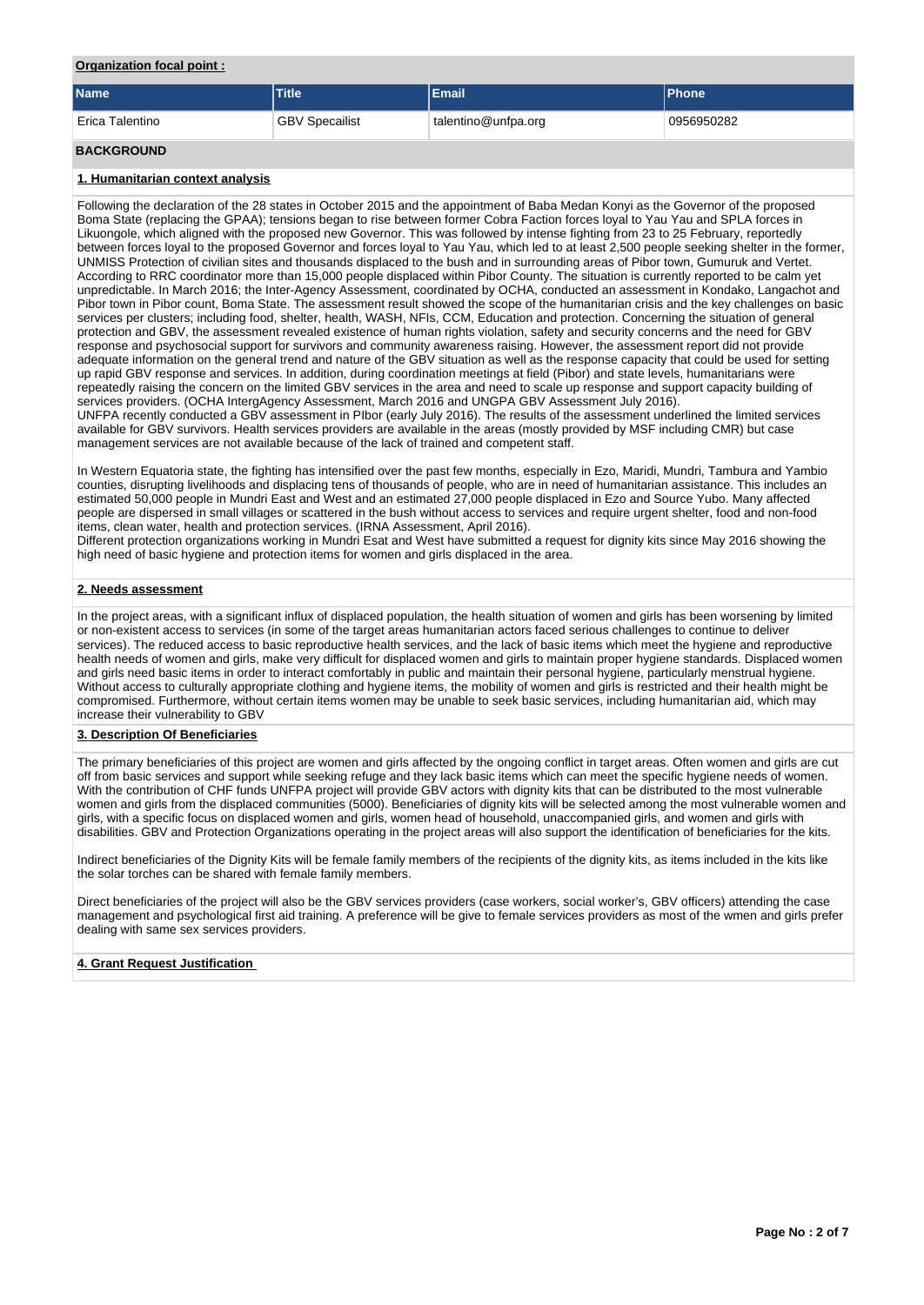### **Organization focal point :**

| <b>Name</b>       | <b>Title</b>          | Email               | <b>IPhone</b> |
|-------------------|-----------------------|---------------------|---------------|
| Erica Talentino   | <b>GBV Specailist</b> | talentino@unfpa.org | 0956950282    |
| <b>BACKGROUND</b> |                       |                     |               |

## **1. Humanitarian context analysis**

Following the declaration of the 28 states in October 2015 and the appointment of Baba Medan Konyi as the Governor of the proposed Boma State (replacing the GPAA); tensions began to rise between former Cobra Faction forces loyal to Yau Yau and SPLA forces in Likuongole, which aligned with the proposed new Governor. This was followed by intense fighting from 23 to 25 February, reportedly between forces loyal to the proposed Governor and forces loyal to Yau Yau, which led to at least 2,500 people seeking shelter in the former, UNMISS Protection of civilian sites and thousands displaced to the bush and in surrounding areas of Pibor town, Gumuruk and Vertet. According to RRC coordinator more than 15,000 people displaced within Pibor County. The situation is currently reported to be calm yet unpredictable. In March 2016; the Inter-Agency Assessment, coordinated by OCHA, conducted an assessment in Kondako, Langachot and Pibor town in Pibor count, Boma State. The assessment result showed the scope of the humanitarian crisis and the key challenges on basic services per clusters; including food, shelter, health, WASH, NFIs, CCM, Education and protection. Concerning the situation of general protection and GBV, the assessment revealed existence of human rights violation, safety and security concerns and the need for GBV response and psychosocial support for survivors and community awareness raising. However, the assessment report did not provide adequate information on the general trend and nature of the GBV situation as well as the response capacity that could be used for setting up rapid GBV response and services. In addition, during coordination meetings at field (Pibor) and state levels, humanitarians were repeatedly raising the concern on the limited GBV services in the area and need to scale up response and support capacity building of services providers. (OCHA IntergAgency Assessment, March 2016 and UNGPA GBV Assessment July 2016). UNFPA recently conducted a GBV assessment in PIbor (early July 2016). The results of the assessment underlined the limited services available for GBV survivors. Health services providers are available in the areas (mostly provided by MSF including CMR) but case management services are not available because of the lack of trained and competent staff.

In Western Equatoria state, the fighting has intensified over the past few months, especially in Ezo, Maridi, Mundri, Tambura and Yambio counties, disrupting livelihoods and displacing tens of thousands of people, who are in need of humanitarian assistance. This includes an estimated 50,000 people in Mundri East and West and an estimated 27,000 people displaced in Ezo and Source Yubo. Many affected people are dispersed in small villages or scattered in the bush without access to services and require urgent shelter, food and non-food items, clean water, health and protection services. (IRNA Assessment, April 2016).

Different protection organizations working in Mundri Esat and West have submitted a request for dignity kits since May 2016 showing the high need of basic hygiene and protection items for women and girls displaced in the area.

### **2. Needs assessment**

In the project areas, with a significant influx of displaced population, the health situation of women and girls has been worsening by limited or non-existent access to services (in some of the target areas humanitarian actors faced serious challenges to continue to deliver services). The reduced access to basic reproductive health services, and the lack of basic items which meet the hygiene and reproductive health needs of women and girls, make very difficult for displaced women and girls to maintain proper hygiene standards. Displaced women and girls need basic items in order to interact comfortably in public and maintain their personal hygiene, particularly menstrual hygiene. Without access to culturally appropriate clothing and hygiene items, the mobility of women and girls is restricted and their health might be compromised. Furthermore, without certain items women may be unable to seek basic services, including humanitarian aid, which may increase their vulnerability to GBV

### **3. Description Of Beneficiaries**

The primary beneficiaries of this project are women and girls affected by the ongoing conflict in target areas. Often women and girls are cut off from basic services and support while seeking refuge and they lack basic items which can meet the specific hygiene needs of women. With the contribution of CHF funds UNFPA project will provide GBV actors with dignity kits that can be distributed to the most vulnerable women and girls from the displaced communities (5000). Beneficiaries of dignity kits will be selected among the most vulnerable women and girls, with a specific focus on displaced women and girls, women head of household, unaccompanied girls, and women and girls with disabilities. GBV and Protection Organizations operating in the project areas will also support the identification of beneficiaries for the kits.

Indirect beneficiaries of the Dignity Kits will be female family members of the recipients of the dignity kits, as items included in the kits like the solar torches can be shared with female family members.

Direct beneficiaries of the project will also be the GBV services providers (case workers, social worker's, GBV officers) attending the case management and psychological first aid training. A preference will be give to female services providers as most of the wmen and girls prefer dealing with same sex services providers.

### **4. Grant Request Justification**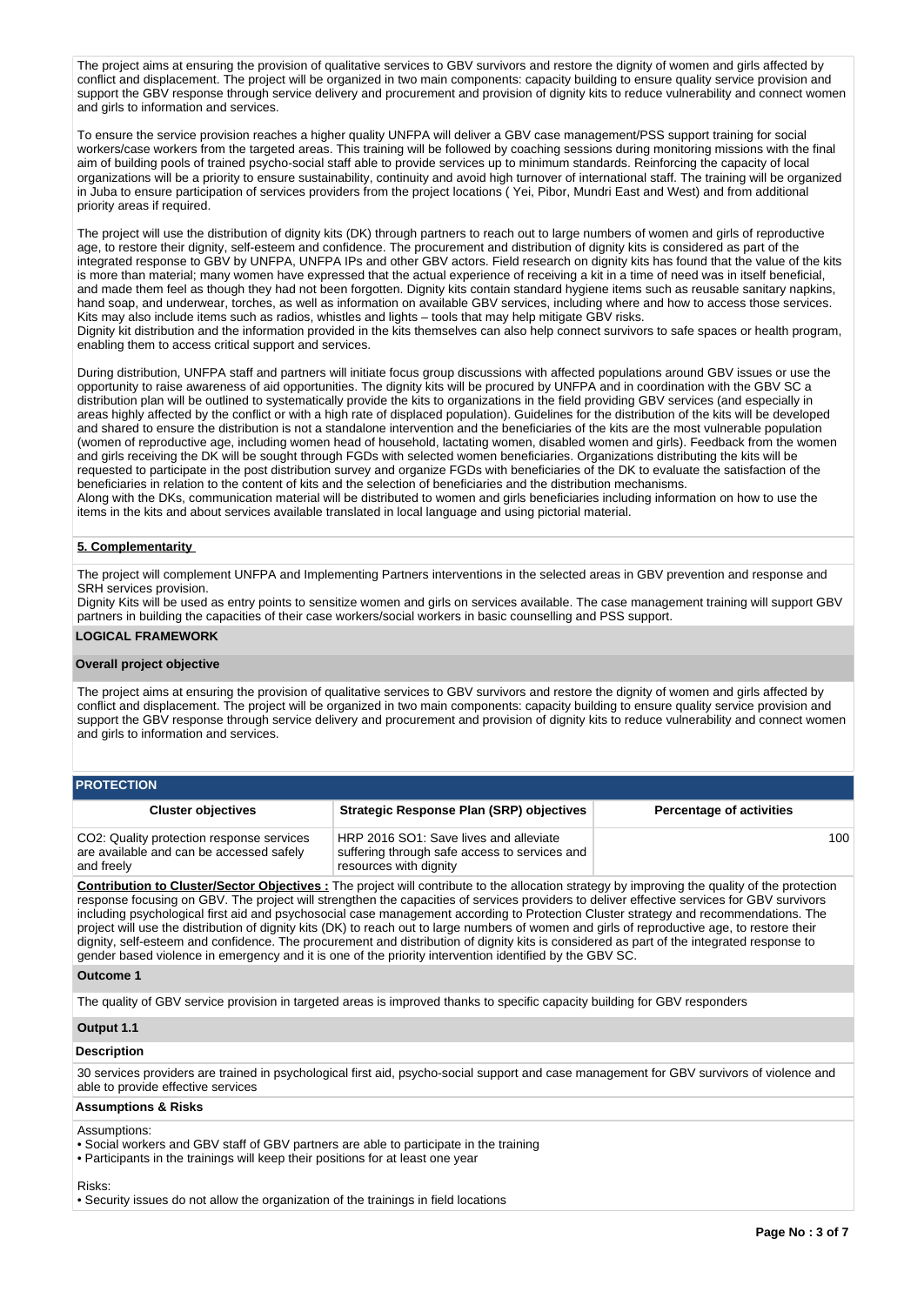The project aims at ensuring the provision of qualitative services to GBV survivors and restore the dignity of women and girls affected by conflict and displacement. The project will be organized in two main components: capacity building to ensure quality service provision and support the GBV response through service delivery and procurement and provision of dignity kits to reduce vulnerability and connect women and girls to information and services.

To ensure the service provision reaches a higher quality UNFPA will deliver a GBV case management/PSS support training for social workers/case workers from the targeted areas. This training will be followed by coaching sessions during monitoring missions with the final aim of building pools of trained psycho-social staff able to provide services up to minimum standards. Reinforcing the capacity of local organizations will be a priority to ensure sustainability, continuity and avoid high turnover of international staff. The training will be organized in Juba to ensure participation of services providers from the project locations ( Yei, Pibor, Mundri East and West) and from additional priority areas if required.

The project will use the distribution of dignity kits (DK) through partners to reach out to large numbers of women and girls of reproductive age, to restore their dignity, self-esteem and confidence. The procurement and distribution of dignity kits is considered as part of the integrated response to GBV by UNFPA, UNFPA IPs and other GBV actors. Field research on dignity kits has found that the value of the kits is more than material; many women have expressed that the actual experience of receiving a kit in a time of need was in itself beneficial, and made them feel as though they had not been forgotten. Dignity kits contain standard hygiene items such as reusable sanitary napkins, hand soap, and underwear, torches, as well as information on available GBV services, including where and how to access those services. Kits may also include items such as radios, whistles and lights – tools that may help mitigate GBV risks. Dignity kit distribution and the information provided in the kits themselves can also help connect survivors to safe spaces or health program, enabling them to access critical support and services.

During distribution, UNFPA staff and partners will initiate focus group discussions with affected populations around GBV issues or use the opportunity to raise awareness of aid opportunities. The dignity kits will be procured by UNFPA and in coordination with the GBV SC a distribution plan will be outlined to systematically provide the kits to organizations in the field providing GBV services (and especially in areas highly affected by the conflict or with a high rate of displaced population). Guidelines for the distribution of the kits will be developed and shared to ensure the distribution is not a standalone intervention and the beneficiaries of the kits are the most vulnerable population (women of reproductive age, including women head of household, lactating women, disabled women and girls). Feedback from the women and girls receiving the DK will be sought through FGDs with selected women beneficiaries. Organizations distributing the kits will be requested to participate in the post distribution survey and organize FGDs with beneficiaries of the DK to evaluate the satisfaction of the beneficiaries in relation to the content of kits and the selection of beneficiaries and the distribution mechanisms. Along with the DKs, communication material will be distributed to women and girls beneficiaries including information on how to use the items in the kits and about services available translated in local language and using pictorial material.

### **5. Complementarity**

The project will complement UNFPA and Implementing Partners interventions in the selected areas in GBV prevention and response and SRH services provision.

Dignity Kits will be used as entry points to sensitize women and girls on services available. The case management training will support GBV partners in building the capacities of their case workers/social workers in basic counselling and PSS support.

## **LOGICAL FRAMEWORK**

### **Overall project objective**

The project aims at ensuring the provision of qualitative services to GBV survivors and restore the dignity of women and girls affected by conflict and displacement. The project will be organized in two main components: capacity building to ensure quality service provision and support the GBV response through service delivery and procurement and provision of dignity kits to reduce vulnerability and connect women and girls to information and services.

| <b>PROTECTION</b>                                                                                   |                                                                                                                   |                                 |  |  |  |  |  |  |  |  |  |
|-----------------------------------------------------------------------------------------------------|-------------------------------------------------------------------------------------------------------------------|---------------------------------|--|--|--|--|--|--|--|--|--|
| <b>Cluster objectives</b>                                                                           | <b>Strategic Response Plan (SRP) objectives</b>                                                                   | <b>Percentage of activities</b> |  |  |  |  |  |  |  |  |  |
| CO2: Quality protection response services<br>are available and can be accessed safely<br>and freely | HRP 2016 SO1: Save lives and alleviate<br>suffering through safe access to services and<br>resources with dignity | 100                             |  |  |  |  |  |  |  |  |  |

**Contribution to Cluster/Sector Objectives :** The project will contribute to the allocation strategy by improving the quality of the protection response focusing on GBV. The project will strengthen the capacities of services providers to deliver effective services for GBV survivors including psychological first aid and psychosocial case management according to Protection Cluster strategy and recommendations. The project will use the distribution of dignity kits (DK) to reach out to large numbers of women and girls of reproductive age, to restore their dignity, self-esteem and confidence. The procurement and distribution of dignity kits is considered as part of the integrated response to gender based violence in emergency and it is one of the priority intervention identified by the GBV SC.

### **Outcome 1**

The quality of GBV service provision in targeted areas is improved thanks to specific capacity building for GBV responders

### **Output 1.1**

### **Description**

30 services providers are trained in psychological first aid, psycho-social support and case management for GBV survivors of violence and able to provide effective services

### **Assumptions & Risks**

Assumptions:

• Social workers and GBV staff of GBV partners are able to participate in the training

• Participants in the trainings will keep their positions for at least one year

### Risks:

• Security issues do not allow the organization of the trainings in field locations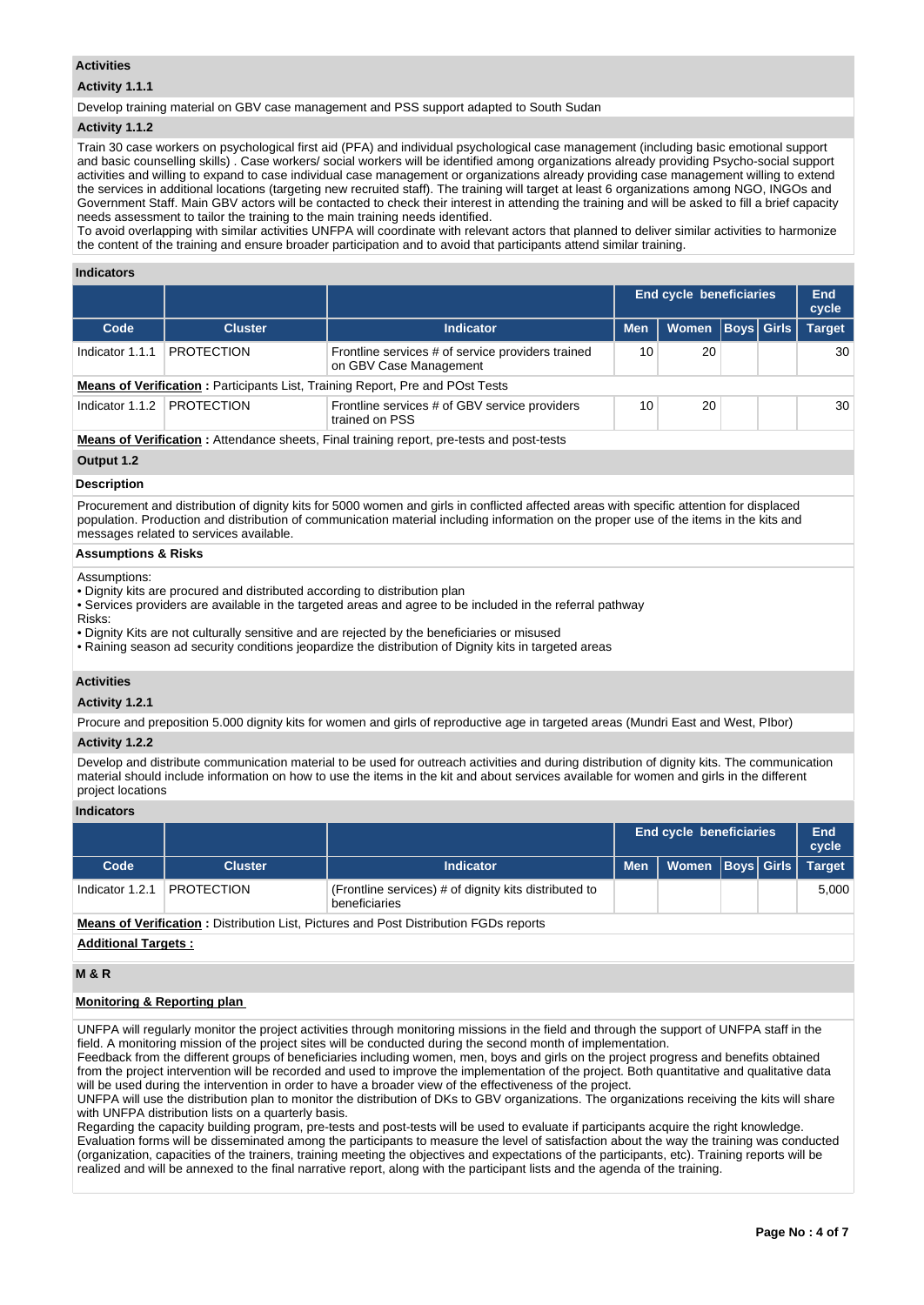## **Activities**

# **Activity 1.1.1**

Develop training material on GBV case management and PSS support adapted to South Sudan

### **Activity 1.1.2**

Train 30 case workers on psychological first aid (PFA) and individual psychological case management (including basic emotional support and basic counselling skills) . Case workers/ social workers will be identified among organizations already providing Psycho-social support activities and willing to expand to case individual case management or organizations already providing case management willing to extend the services in additional locations (targeting new recruited staff). The training will target at least 6 organizations among NGO, INGOs and Government Staff. Main GBV actors will be contacted to check their interest in attending the training and will be asked to fill a brief capacity needs assessment to tailor the training to the main training needs identified.

To avoid overlapping with similar activities UNFPA will coordinate with relevant actors that planned to deliver similar activities to harmonize the content of the training and ensure broader participation and to avoid that participants attend similar training.

### **Indicators**

|                                                                                                  |                   |                                                                                      |            | <b>End cycle beneficiaries</b> |  |                   | End<br>cycle  |  |  |  |
|--------------------------------------------------------------------------------------------------|-------------------|--------------------------------------------------------------------------------------|------------|--------------------------------|--|-------------------|---------------|--|--|--|
| Code                                                                                             | <b>Cluster</b>    | <b>Indicator</b>                                                                     | <b>Men</b> | <b>Women</b>                   |  | <b>Boys Girls</b> | <b>Target</b> |  |  |  |
| Indicator 1.1.1                                                                                  | <b>PROTECTION</b> | Frontline services # of service providers trained<br>on GBV Case Management          | 10         | 20                             |  |                   | 30            |  |  |  |
|                                                                                                  |                   | <b>Means of Verification: Participants List, Training Report, Pre and POst Tests</b> |            |                                |  |                   |               |  |  |  |
| Indicator 1.1.2 PROTECTION                                                                       |                   | Frontline services # of GBV service providers<br>20<br>10<br>trained on PSS          |            |                                |  |                   |               |  |  |  |
| <b>Means of Verification:</b> Attendance sheets, Final training report, pre-tests and post-tests |                   |                                                                                      |            |                                |  |                   |               |  |  |  |

# **Output 1.2**

# **Description**

Procurement and distribution of dignity kits for 5000 women and girls in conflicted affected areas with specific attention for displaced population. Production and distribution of communication material including information on the proper use of the items in the kits and messages related to services available.

## **Assumptions & Risks**

Assumptions:

- Dignity kits are procured and distributed according to distribution plan
- Services providers are available in the targeted areas and agree to be included in the referral pathway
- Risks:
- Dignity Kits are not culturally sensitive and are rejected by the beneficiaries or misused
- Raining season ad security conditions jeopardize the distribution of Dignity kits in targeted areas

### **Activities**

**Activity 1.2.1** 

Procure and preposition 5.000 dignity kits for women and girls of reproductive age in targeted areas (Mundri East and West, PIbor)

### **Activity 1.2.2**

Develop and distribute communication material to be used for outreach activities and during distribution of dignity kits. The communication material should include information on how to use the items in the kit and about services available for women and girls in the different project locations

### **Indicators**

|                 |                   |                                                                                           |            | End cycle beneficiaries |  | End<br>cycle |
|-----------------|-------------------|-------------------------------------------------------------------------------------------|------------|-------------------------|--|--------------|
| Code            | <b>Cluster</b>    | <b>Indicator</b>                                                                          | <b>Men</b> | Women   Boys   Girls    |  | Target       |
| Indicator 1.2.1 | <b>PROTECTION</b> | (Frontline services) # of dignity kits distributed to<br>beneficiaries                    |            |                         |  | 5.000        |
|                 |                   | - Magus of Vestfleeting - Distribution List, Districts and Deat Distribution FODs sonorte |            |                         |  |              |

**Means of Verification :** Distribution List, Pictures and Post Distribution FGDs reports

# **Additional Targets :**

**M & R**

## **Monitoring & Reporting plan**

UNFPA will regularly monitor the project activities through monitoring missions in the field and through the support of UNFPA staff in the field. A monitoring mission of the project sites will be conducted during the second month of implementation.

Feedback from the different groups of beneficiaries including women, men, boys and girls on the project progress and benefits obtained from the project intervention will be recorded and used to improve the implementation of the project. Both quantitative and qualitative data will be used during the intervention in order to have a broader view of the effectiveness of the project.

UNFPA will use the distribution plan to monitor the distribution of DKs to GBV organizations. The organizations receiving the kits will share with UNFPA distribution lists on a quarterly basis.

Regarding the capacity building program, pre-tests and post-tests will be used to evaluate if participants acquire the right knowledge. Evaluation forms will be disseminated among the participants to measure the level of satisfaction about the way the training was conducted (organization, capacities of the trainers, training meeting the objectives and expectations of the participants, etc). Training reports will be realized and will be annexed to the final narrative report, along with the participant lists and the agenda of the training.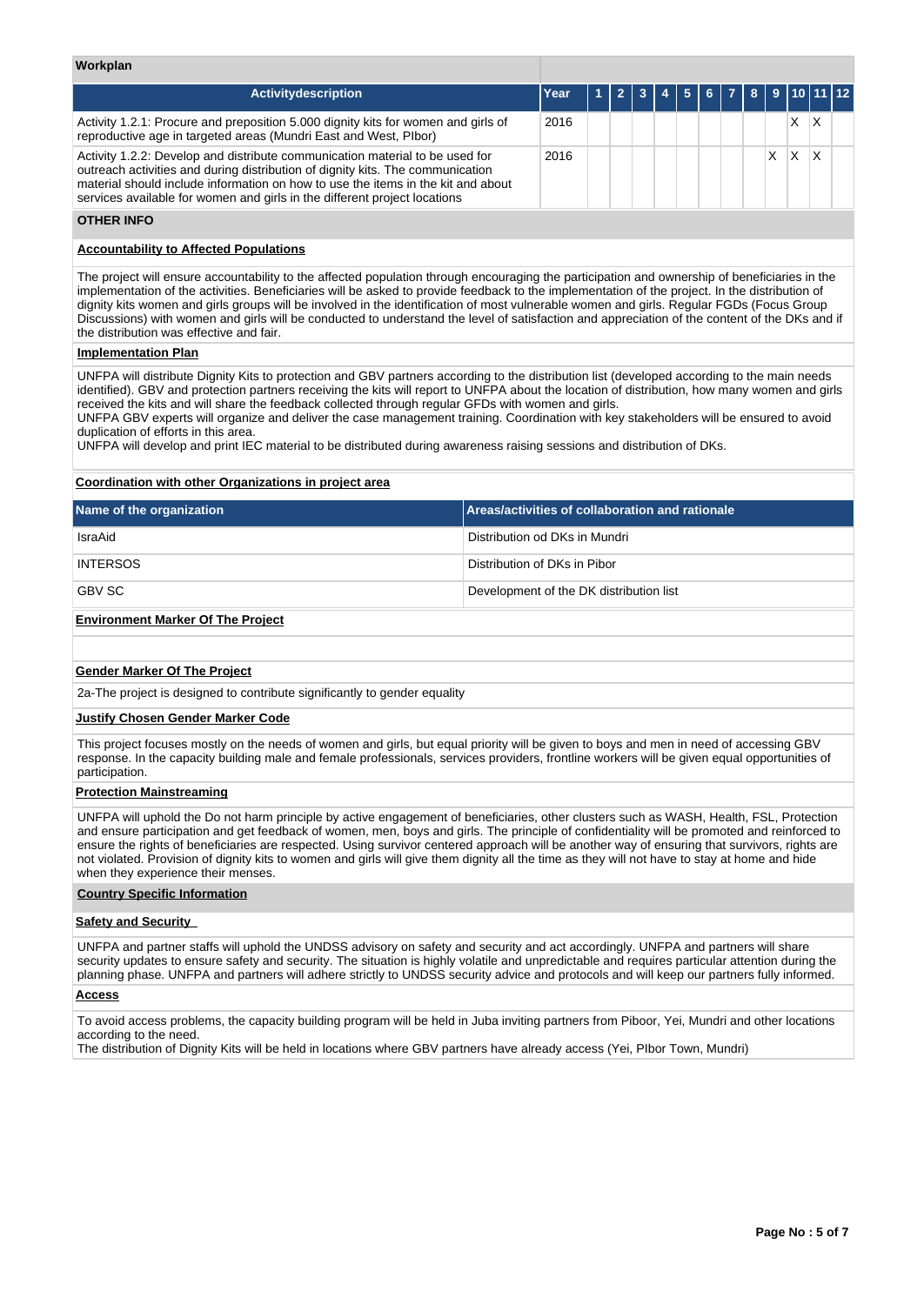## **Workplan**

| <b>Activitydescription</b>                                                                                                                                                                                                                                                                                                      | Year |  | $1$ $2$ $3$ $4$ $5$ $6$ $7$ $8$ $9$ $10$ $11$ $12$ |  |  |   |  |
|---------------------------------------------------------------------------------------------------------------------------------------------------------------------------------------------------------------------------------------------------------------------------------------------------------------------------------|------|--|----------------------------------------------------|--|--|---|--|
| Activity 1.2.1: Procure and preposition 5.000 dignity kits for women and girls of<br>reproductive age in targeted areas (Mundri East and West, Plbor)                                                                                                                                                                           | 2016 |  |                                                    |  |  | x |  |
| Activity 1.2.2: Develop and distribute communication material to be used for<br>outreach activities and during distribution of dignity kits. The communication<br>material should include information on how to use the items in the kit and about<br>services available for women and girls in the different project locations | 2016 |  |                                                    |  |  | X |  |

## **OTHER INFO**

## **Accountability to Affected Populations**

The project will ensure accountability to the affected population through encouraging the participation and ownership of beneficiaries in the implementation of the activities. Beneficiaries will be asked to provide feedback to the implementation of the project. In the distribution of dignity kits women and girls groups will be involved in the identification of most vulnerable women and girls. Regular FGDs (Focus Group Discussions) with women and girls will be conducted to understand the level of satisfaction and appreciation of the content of the DKs and if the distribution was effective and fair.

# **Implementation Plan**

UNFPA will distribute Dignity Kits to protection and GBV partners according to the distribution list (developed according to the main needs identified). GBV and protection partners receiving the kits will report to UNFPA about the location of distribution, how many women and girls received the kits and will share the feedback collected through regular GFDs with women and girls.

UNFPA GBV experts will organize and deliver the case management training. Coordination with key stakeholders will be ensured to avoid duplication of efforts in this area.

UNFPA will develop and print IEC material to be distributed during awareness raising sessions and distribution of DKs.

### **Coordination with other Organizations in project area**

| Name of the organization                 | Areas/activities of collaboration and rationale |
|------------------------------------------|-------------------------------------------------|
| IsraAid                                  | Distribution od DKs in Mundri                   |
| <b>INTERSOS</b>                          | Distribution of DKs in Pibor                    |
| <b>GBV SC</b>                            | Development of the DK distribution list         |
| <b>Environment Marker Of The Project</b> |                                                 |

### **Gender Marker Of The Project**

2a-The project is designed to contribute significantly to gender equality

### **Justify Chosen Gender Marker Code**

This project focuses mostly on the needs of women and girls, but equal priority will be given to boys and men in need of accessing GBV response. In the capacity building male and female professionals, services providers, frontline workers will be given equal opportunities of participation.

## **Protection Mainstreaming**

UNFPA will uphold the Do not harm principle by active engagement of beneficiaries, other clusters such as WASH, Health, FSL, Protection and ensure participation and get feedback of women, men, boys and girls. The principle of confidentiality will be promoted and reinforced to ensure the rights of beneficiaries are respected. Using survivor centered approach will be another way of ensuring that survivors, rights are not violated. Provision of dignity kits to women and girls will give them dignity all the time as they will not have to stay at home and hide when they experience their menses.

### **Country Specific Information**

### **Safety and Security**

UNFPA and partner staffs will uphold the UNDSS advisory on safety and security and act accordingly. UNFPA and partners will share security updates to ensure safety and security. The situation is highly volatile and unpredictable and requires particular attention during the planning phase. UNFPA and partners will adhere strictly to UNDSS security advice and protocols and will keep our partners fully informed.

## **Access**

To avoid access problems, the capacity building program will be held in Juba inviting partners from Piboor, Yei, Mundri and other locations according to the need.

The distribution of Dignity Kits will be held in locations where GBV partners have already access (Yei, PIbor Town, Mundri)